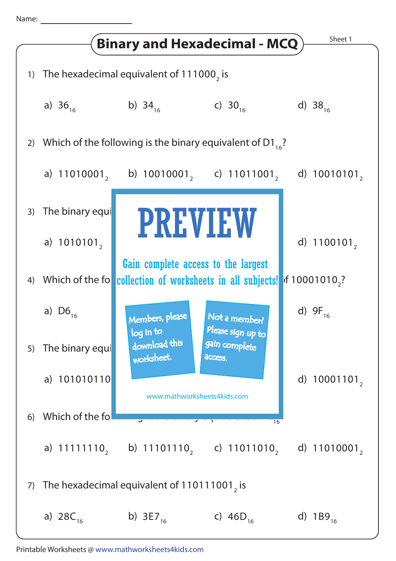